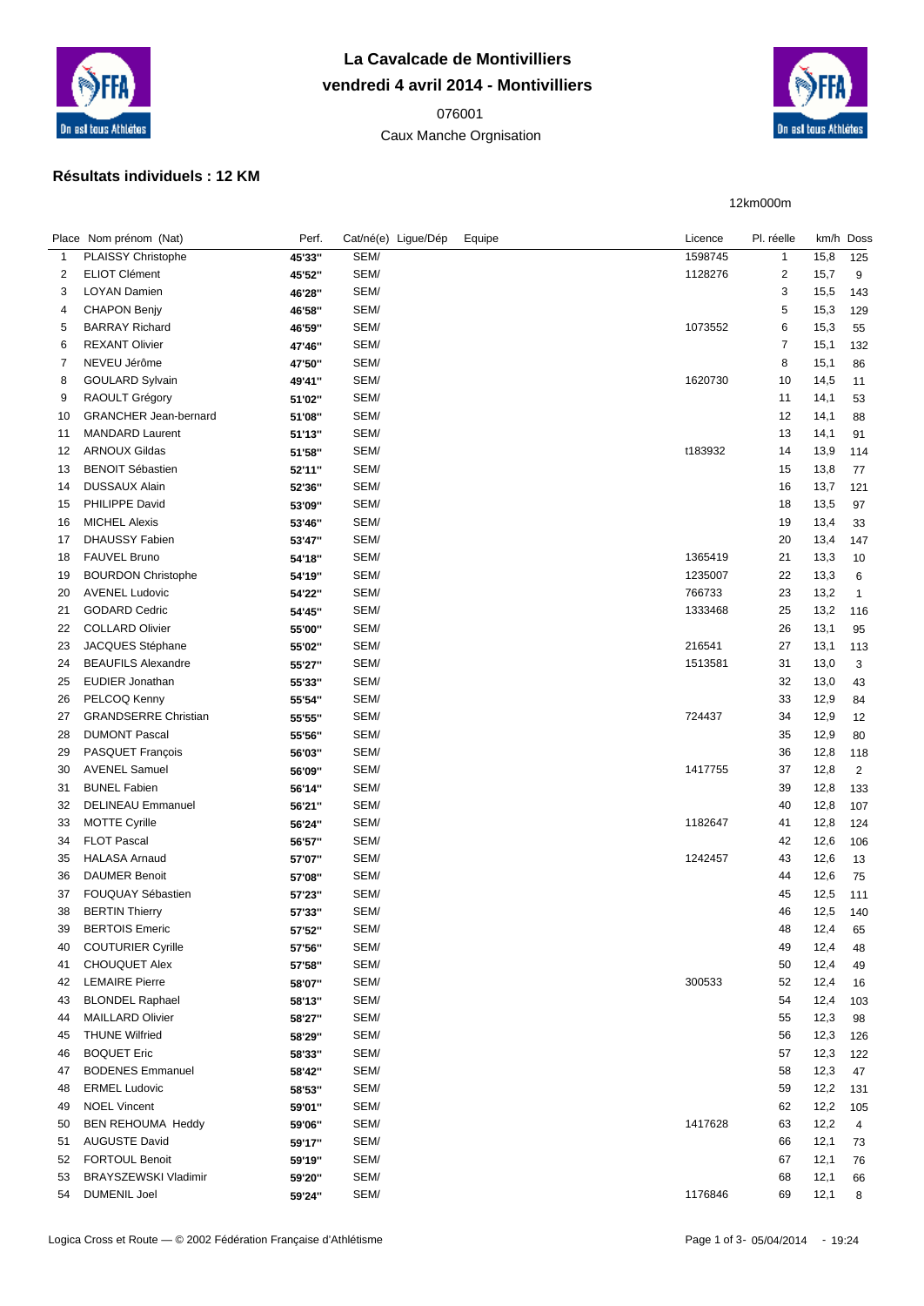

## **La Cavalcade de Montivilliers vendredi 4 avril 2014 - Montivilliers**

 Caux Manche Orgnisation



12km000m

## **Résultats individuels : 12 KM**

|              | Place Nom prénom (Nat)       | Perf.  | Cat/né(e) Ligue/Dép | Equipe | Licence | Pl. réelle     |      | km/h Doss      |
|--------------|------------------------------|--------|---------------------|--------|---------|----------------|------|----------------|
| $\mathbf{1}$ | PLAISSY Christophe           | 45'33" | SEM/                |        | 1598745 | $\mathbf{1}$   | 15,8 | 125            |
| 2            | <b>ELIOT Clément</b>         | 45'52" | SEM/                |        | 1128276 | $\overline{2}$ | 15,7 | 9              |
| 3            | LOYAN Damien                 | 46'28" | SEM/                |        |         | 3              | 15,5 | 143            |
| 4            | <b>CHAPON Benjy</b>          | 46'58" | SEM/                |        |         | 5              | 15,3 | 129            |
| 5            | <b>BARRAY Richard</b>        | 46'59" | SEM/                |        | 1073552 | 6              | 15,3 | 55             |
| 6            | <b>REXANT Olivier</b>        | 47'46" | SEM/                |        |         | $\overline{7}$ | 15,1 | 132            |
| 7            | NEVEU Jérôme                 | 47'50" | SEM/                |        |         | 8              | 15,1 | 86             |
| 8            | <b>GOULARD Sylvain</b>       | 49'41" | SEM/                |        | 1620730 | 10             | 14,5 | 11             |
| 9            | RAOULT Grégory               | 51'02" | SEM/                |        |         | 11             | 14,1 | 53             |
| 10           | <b>GRANCHER Jean-bernard</b> | 51'08" | SEM/                |        |         | 12             | 14,1 | 88             |
| 11           | <b>MANDARD Laurent</b>       | 51'13" | SEM/                |        |         | 13             | 14,1 | 91             |
| 12           | <b>ARNOUX Gildas</b>         | 51'58" | SEM/                |        | t183932 | 14             | 13,9 | 114            |
| 13           | <b>BENOIT Sébastien</b>      | 52'11" | SEM/                |        |         | 15             | 13,8 | 77             |
| 14           | <b>DUSSAUX Alain</b>         | 52'36" | SEM/                |        |         | 16             | 13,7 | 121            |
| 15           | PHILIPPE David               | 53'09" | SEM/                |        |         | 18             | 13,5 | 97             |
| 16           | <b>MICHEL Alexis</b>         | 53'46" | SEM/                |        |         | 19             | 13,4 | 33             |
| 17           | DHAUSSY Fabien               | 53'47" | SEM/                |        |         | 20             | 13,4 | 147            |
| 18           | <b>FAUVEL Bruno</b>          | 54'18" | SEM/                |        | 1365419 | 21             | 13,3 | 10             |
| 19           | <b>BOURDON Christophe</b>    | 54'19" | SEM/                |        | 1235007 | 22             | 13,3 | 6              |
| 20           | <b>AVENEL Ludovic</b>        | 54'22" | SEM/                |        | 766733  | 23             | 13,2 | $\mathbf{1}$   |
| 21           | <b>GODARD Cedric</b>         | 54'45" | SEM/                |        | 1333468 | 25             | 13,2 | 116            |
| 22           | <b>COLLARD Olivier</b>       | 55'00" | SEM/                |        |         | 26             | 13,1 | 95             |
| 23           | JACQUES Stéphane             | 55'02" | SEM/                |        | 216541  | 27             | 13,1 | 113            |
| 24           | <b>BEAUFILS Alexandre</b>    | 55'27" | SEM/                |        | 1513581 | 31             | 13,0 | 3              |
| 25           | EUDIER Jonathan              | 55'33" | SEM/                |        |         | 32             | 13,0 | 43             |
| 26           | PELCOQ Kenny                 | 55'54" | SEM/                |        |         | 33             | 12,9 | 84             |
| 27           | <b>GRANDSERRE Christian</b>  | 55'55" | SEM/                |        | 724437  | 34             | 12,9 | 12             |
| 28           | <b>DUMONT Pascal</b>         | 55'56" | SEM/                |        |         | 35             | 12,9 | 80             |
| 29           | PASQUET François             | 56'03" | SEM/                |        |         | 36             | 12,8 | 118            |
| 30           | <b>AVENEL Samuel</b>         | 56'09" | SEM/                |        | 1417755 | 37             | 12,8 | $\overline{2}$ |
| 31           | <b>BUNEL Fabien</b>          | 56'14" | SEM/                |        |         | 39             | 12,8 | 133            |
| 32           | <b>DELINEAU Emmanuel</b>     | 56'21" | SEM/                |        |         | 40             | 12,8 | 107            |
| 33           | <b>MOTTE Cyrille</b>         | 56'24" | SEM/                |        | 1182647 | 41             | 12,8 | 124            |
| 34           | <b>FLOT Pascal</b>           | 56'57" | SEM/                |        |         | 42             | 12,6 | 106            |
| 35           | <b>HALASA Arnaud</b>         | 57'07" | SEM/                |        | 1242457 | 43             | 12,6 | 13             |
| 36           | <b>DAUMER Benoit</b>         | 57'08" | SEM/                |        |         | 44             | 12,6 | 75             |
| 37           | FOUQUAY Sébastien            | 57'23" | SEM/                |        |         | 45             | 12,5 | 111            |
| 38           | <b>BERTIN Thierry</b>        | 57'33" | SEM/                |        |         | 46             | 12,5 | 140            |
| 39           | <b>BERTOIS Emeric</b>        | 57'52" | SEM/                |        |         | 48             | 12,4 | 65             |
| 40           | <b>COUTURIER Cyrille</b>     | 57'56" | SEM/                |        |         | 49             | 12,4 | 48             |
| 41           | <b>CHOUQUET Alex</b>         | 57'58" | SEM/                |        |         | 50             | 12,4 | 49             |
| 42           | <b>LEMAIRE Pierre</b>        | 58'07" | SEM/                |        | 300533  | 52             | 12,4 | 16             |
| 43           | <b>BLONDEL Raphael</b>       | 58'13" | SEM/                |        |         | 54             | 12,4 | 103            |
| 44           | <b>MAILLARD Olivier</b>      | 58'27" | SEM/                |        |         | 55             | 12,3 | 98             |
| 45           | <b>THUNE Wilfried</b>        | 58'29" | SEM/                |        |         | 56             | 12,3 | 126            |
| 46           | <b>BOQUET Eric</b>           | 58'33" | SEM/                |        |         | 57             | 12,3 | 122            |
| 47           | <b>BODENES Emmanuel</b>      | 58'42" | SEM/                |        |         | 58             | 12,3 | 47             |
| 48           | <b>ERMEL Ludovic</b>         | 58'53" | SEM/                |        |         | 59             | 12,2 | 131            |
| 49           | <b>NOEL Vincent</b>          | 59'01" | SEM/                |        |         | 62             | 12,2 | 105            |
| 50           | BEN REHOUMA Heddy            | 59'06" | SEM/                |        | 1417628 | 63             | 12,2 | 4              |
| 51           | <b>AUGUSTE David</b>         | 59'17" | SEM/                |        |         | 66             | 12,1 | 73             |
| 52           | <b>FORTOUL Benoit</b>        | 59'19" | SEM/                |        |         | 67             | 12,1 | 76             |
| 53           | BRAYSZEWSKI Vladimir         | 59'20" | SEM/                |        |         | 68             | 12,1 | 66             |
| 54           | <b>DUMENIL Joel</b>          | 59'24" | SEM/                |        | 1176846 | 69             | 12,1 | 8              |
|              |                              |        |                     |        |         |                |      |                |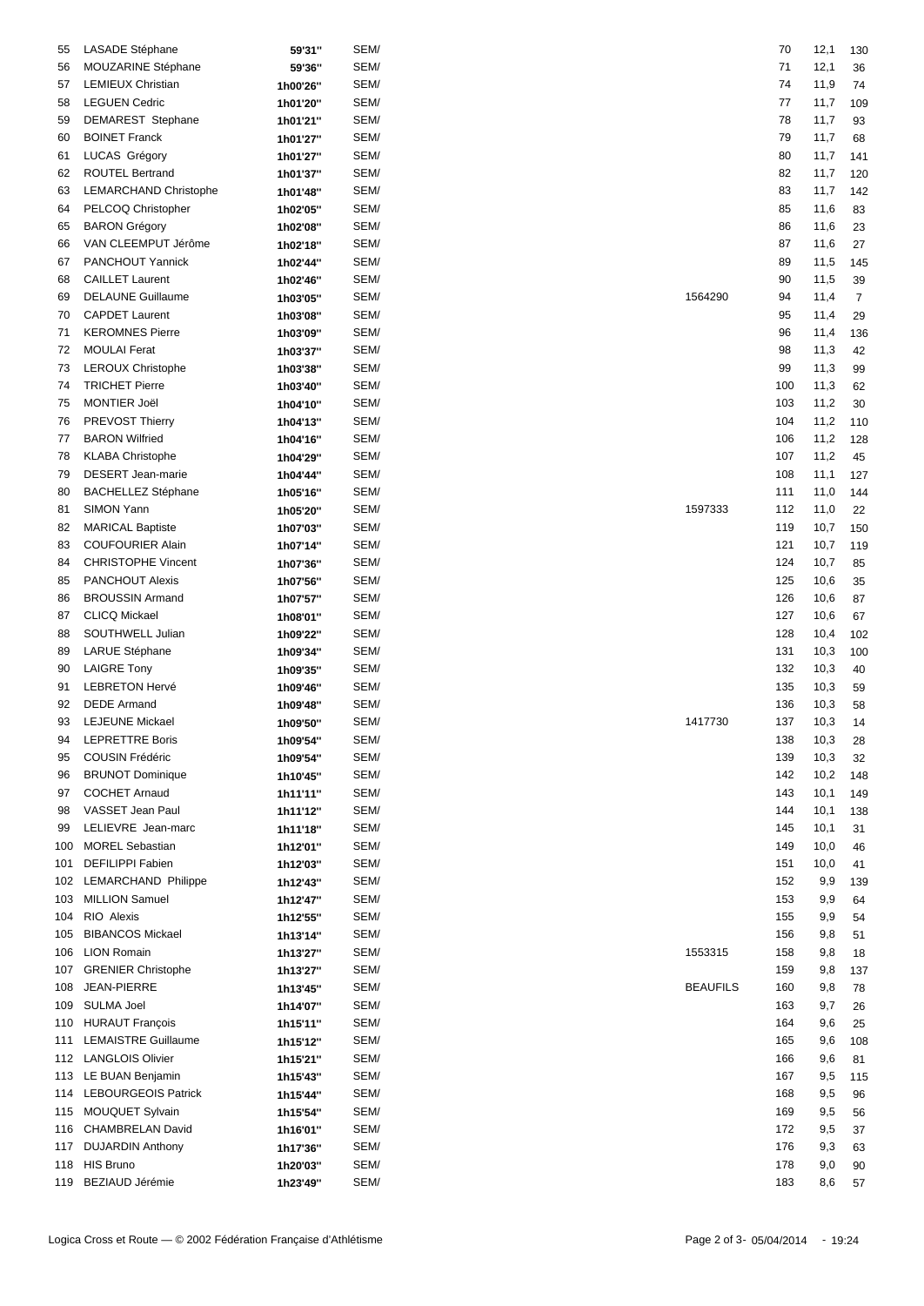| 55  | LASADE Stéphane            | 59'31"   | SEM/ |                 | 70  | 12,1 | 130            |
|-----|----------------------------|----------|------|-----------------|-----|------|----------------|
| 56  | MOUZARINE Stéphane         | 59'36"   | SEM/ |                 | 71  | 12,1 | 36             |
| 57  | <b>LEMIEUX Christian</b>   | 1h00'26" | SEM/ |                 | 74  | 11,9 | 74             |
|     |                            |          | SEM/ |                 |     |      |                |
| 58  | <b>LEGUEN Cedric</b>       | 1h01'20" |      |                 | 77  | 11,7 | 109            |
| 59  | DEMAREST Stephane          | 1h01'21" | SEM/ |                 | 78  | 11,7 | 93             |
| 60  | <b>BOINET Franck</b>       | 1h01'27" | SEM/ |                 | 79  | 11,7 | 68             |
| 61  | LUCAS Grégory              | 1h01'27" | SEM/ |                 | 80  | 11,7 | 141            |
| 62  | <b>ROUTEL Bertrand</b>     | 1h01'37" | SEM/ |                 | 82  | 11,7 | 120            |
| 63  | LEMARCHAND Christophe      | 1h01'48" | SEM/ |                 | 83  | 11,7 | 142            |
| 64  | PELCOQ Christopher         | 1h02'05" | SEM/ |                 | 85  | 11,6 | 83             |
| 65  | <b>BARON Grégory</b>       | 1h02'08" | SEM/ |                 | 86  | 11,6 | 23             |
| 66  | VAN CLEEMPUT Jérôme        | 1h02'18" | SEM/ |                 | 87  | 11,6 | 27             |
| 67  | PANCHOUT Yannick           | 1h02'44" | SEM/ |                 | 89  | 11,5 | 145            |
| 68  | <b>CAILLET Laurent</b>     | 1h02'46" | SEM/ |                 | 90  | 11,5 | 39             |
| 69  | <b>DELAUNE Guillaume</b>   |          | SEM/ | 1564290         | 94  | 11,4 |                |
|     |                            | 1h03'05" |      |                 |     |      | $\overline{7}$ |
| 70  | <b>CAPDET Laurent</b>      | 1h03'08" | SEM/ |                 | 95  | 11,4 | 29             |
| 71  | <b>KEROMNES Pierre</b>     | 1h03'09" | SEM/ |                 | 96  | 11,4 | 136            |
| 72  | <b>MOULAI</b> Ferat        | 1h03'37" | SEM/ |                 | 98  | 11,3 | 42             |
| 73  | LEROUX Christophe          | 1h03'38" | SEM/ |                 | 99  | 11,3 | 99             |
| 74  | <b>TRICHET Pierre</b>      | 1h03'40" | SEM/ |                 | 100 | 11,3 | 62             |
| 75  | <b>MONTIER Joël</b>        | 1h04'10" | SEM/ |                 | 103 | 11,2 | 30             |
| 76  | <b>PREVOST Thierry</b>     | 1h04'13" | SEM/ |                 | 104 | 11,2 | 110            |
| 77  | <b>BARON Wilfried</b>      | 1h04'16" | SEM/ |                 | 106 | 11,2 | 128            |
| 78  | <b>KLABA Christophe</b>    | 1h04'29" | SEM/ |                 | 107 | 11,2 | 45             |
| 79  | DESERT Jean-marie          | 1h04'44" | SEM/ |                 | 108 | 11,1 | 127            |
|     |                            |          |      |                 |     |      |                |
| 80  | <b>BACHELLEZ Stéphane</b>  | 1h05'16" | SEM/ |                 | 111 | 11,0 | 144            |
| 81  | SIMON Yann                 | 1h05'20" | SEM/ | 1597333         | 112 | 11,0 | 22             |
| 82  | <b>MARICAL Baptiste</b>    | 1h07'03" | SEM/ |                 | 119 | 10,7 | 150            |
| 83  | <b>COUFOURIER Alain</b>    | 1h07'14" | SEM/ |                 | 121 | 10,7 | 119            |
| 84  | <b>CHRISTOPHE Vincent</b>  | 1h07'36" | SEM/ |                 | 124 | 10,7 | 85             |
| 85  | <b>PANCHOUT Alexis</b>     | 1h07'56" | SEM/ |                 | 125 | 10,6 | 35             |
| 86  | <b>BROUSSIN Armand</b>     | 1h07'57" | SEM/ |                 | 126 | 10,6 | 87             |
| 87  | <b>CLICQ Mickael</b>       | 1h08'01" | SEM/ |                 | 127 | 10,6 | 67             |
| 88  | SOUTHWELL Julian           | 1h09'22" | SEM/ |                 | 128 | 10,4 | 102            |
| 89  | <b>LARUE Stéphane</b>      | 1h09'34" | SEM/ |                 | 131 | 10,3 | 100            |
| 90  | <b>LAIGRE Tony</b>         |          | SEM/ |                 | 132 | 10,3 | 40             |
|     |                            | 1h09'35" |      |                 |     |      |                |
| 91  | <b>LEBRETON Hervé</b>      | 1h09'46" | SEM/ |                 | 135 | 10,3 | 59             |
| 92  | <b>DEDE Armand</b>         | 1h09'48" | SEM/ |                 | 136 | 10,3 | 58             |
| 93  | <b>LEJEUNE Mickael</b>     | 1h09'50" | SEM/ | 1417730         | 137 | 10,3 | 14             |
| 94  | <b>LEPRETTRE Boris</b>     | 1h09'54" | SEM/ |                 | 138 | 10,3 | 28             |
| 95  | <b>COUSIN Frédéric</b>     | 1h09'54" | SEM/ |                 | 139 | 10,3 | 32             |
| 96  | <b>BRUNOT Dominique</b>    | 1h10'45" | SEM/ |                 | 142 | 10,2 | 148            |
| 97  | <b>COCHET Arnaud</b>       | 1h11'11" | SEM/ |                 | 143 | 10,1 | 149            |
| 98  | VASSET Jean Paul           | 1h11'12" | SEM/ |                 | 144 | 10,1 | 138            |
| 99  | LELIEVRE Jean-marc         | 1h11'18" | SEM/ |                 | 145 | 10,1 | 31             |
| 100 | <b>MOREL Sebastian</b>     | 1h12'01" | SEM/ |                 | 149 | 10,0 | 46             |
| 101 | DEFILIPPI Fabien           | 1h12'03" | SEM/ |                 | 151 | 10,0 | 41             |
| 102 | LEMARCHAND Philippe        |          | SEM/ |                 | 152 | 9,9  |                |
|     |                            | 1h12'43" |      |                 |     |      | 139            |
| 103 | <b>MILLION Samuel</b>      | 1h12'47" | SEM/ |                 | 153 | 9,9  | 64             |
| 104 | RIO Alexis                 | 1h12'55" | SEM/ |                 | 155 | 9,9  | 54             |
| 105 | <b>BIBANCOS Mickael</b>    | 1h13'14" | SEM/ |                 | 156 | 9,8  | 51             |
| 106 | <b>LION Romain</b>         | 1h13'27" | SEM/ | 1553315         | 158 | 9,8  | 18             |
| 107 | <b>GRENIER Christophe</b>  | 1h13'27" | SEM/ |                 | 159 | 9,8  | 137            |
| 108 | <b>JEAN-PIERRE</b>         | 1h13'45" | SEM/ | <b>BEAUFILS</b> | 160 | 9,8  | 78             |
| 109 | <b>SULMA Joel</b>          | 1h14'07" | SEM/ |                 | 163 | 9,7  | 26             |
| 110 | <b>HURAUT François</b>     | 1h15'11" | SEM/ |                 | 164 | 9,6  | 25             |
| 111 | <b>LEMAISTRE Guillaume</b> | 1h15'12" | SEM/ |                 | 165 | 9,6  | 108            |
|     | 112 LANGLOIS Olivier       | 1h15'21" | SEM/ |                 | 166 | 9,6  | 81             |
|     | 113 LE BUAN Benjamin       |          | SEM/ |                 | 167 | 9,5  | 115            |
|     |                            | 1h15'43" |      |                 |     |      |                |
| 114 | <b>LEBOURGEOIS Patrick</b> | 1h15'44" | SEM/ |                 | 168 | 9,5  | 96             |
|     | 115 MOUQUET Sylvain        | 1h15'54" | SEM/ |                 | 169 | 9,5  | 56             |
| 116 | CHAMBRELAN David           | 1h16'01" | SEM/ |                 | 172 | 9,5  | 37             |
| 117 | <b>DUJARDIN Anthony</b>    | 1h17'36" | SEM/ |                 | 176 | 9,3  | 63             |
|     | 118 HIS Bruno              | 1h20'03" | SEM/ |                 | 178 | 9,0  | 90             |
|     | 119 BEZIAUD Jérémie        | 1h23'49" | SEM/ |                 | 183 | 8,6  | 57             |